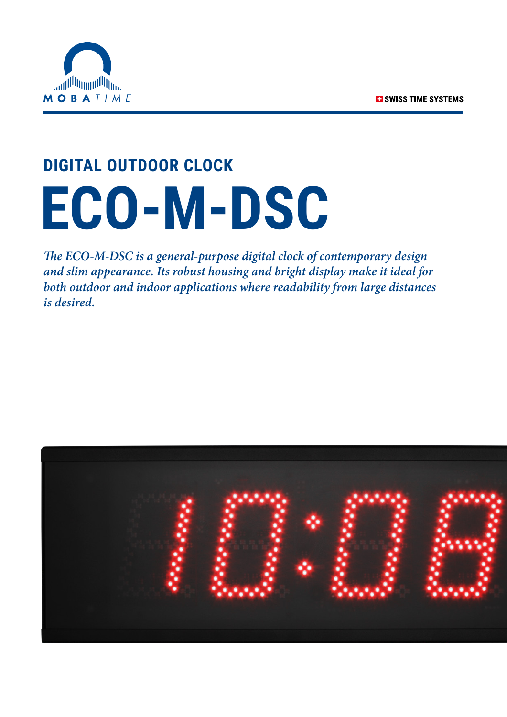

## **DIGITAL OUTDOOR CLOCK ECO-M-DSC**

*The ECO-M-DSC is a general-purpose digital clock of contemporary design and slim appearance. Its robust housing and bright display make it ideal for both outdoor and indoor applications where readability from large distances is desired.*

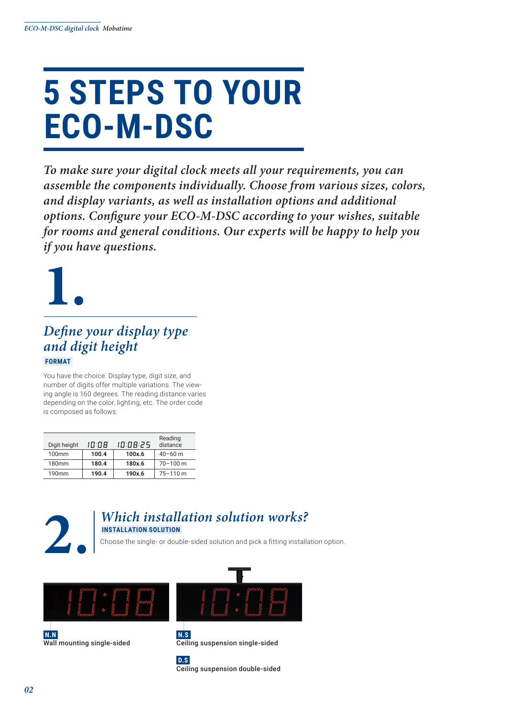### **5 STEPS TO YOUR ECO-M-DSC**

*To make sure your digital clock meets all your requirements, you can assemble the components individually. Choose from various sizes, colors, and display variants, as well as installation options and additional options. Configure your ECO-M-DSC according to your wishes, suitable for rooms and general conditions. Our experts will be happy to help you if you have questions.*



#### *Define your display type and digit height*  **FORMAT**

You have the choice. Display type, digit size, and number of digits offer multiple variations. The viewing angle is 160 degrees. The reading distance varies depending on the color, lighting, etc. The order code is composed as follows:

| Digit height      | 10:08 | 10:08:25 | Reading<br>distance |
|-------------------|-------|----------|---------------------|
| 100mm             | 100.4 | 100x.6   | $40 - 60$ m         |
| 180 <sub>mm</sub> | 180.4 | 180x.6   | $70 - 100$ m        |
| 190 <sub>mm</sub> | 190.4 | 190x.6   | $75 - 110$ m        |



#### **2.** *Which installation solution works?*  **INSTALLATION SOLUTION**

Choose the single- or double-sided solution and pick a fitting installation option.



**N.N** Wall mounting single-sided



**N.S** Ceiling suspension single-sided



Ceiling suspension double-sided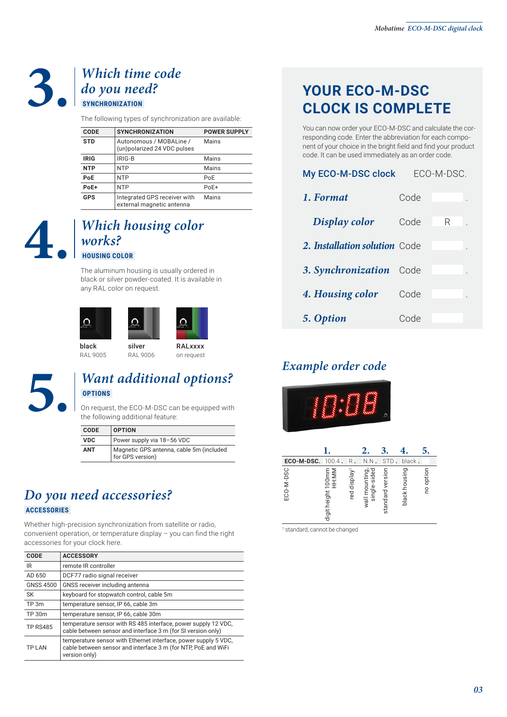#### **3.** *Which time code do you need?*  **SYNCHRONIZATION**

The following types of synchronization are available:

| <b>CODE</b> | <b>SYNCHRONIZATION</b>                                    | <b>POWER SUPPLY</b> |
|-------------|-----------------------------------------------------------|---------------------|
| <b>STD</b>  | Autonomous / MOBALine /<br>(un)polarized 24 VDC pulses    | Mains               |
| <b>IRIG</b> | IRIG-B                                                    | Mains               |
| <b>NTP</b>  | <b>NTP</b>                                                | Mains               |
| PoE         | <b>NTP</b>                                                | PoE                 |
| PoE+        | <b>NTP</b>                                                | PoE+                |
| <b>GPS</b>  | Integrated GPS receiver with<br>external magnetic antenna | Mains               |

### **4.** *Which housing color works?*  **HOUSING COLOR**

The aluminum housing is usually ordered in black or silver powder-coated. It is available in any RAL color on request.





RAL 9005 silver RAL 9006 RALxxxx on request



#### **5.** *Want additional options?*  **OPTIONS**

On request, the ECO-M-DSC can be equipped with the following additional feature:

| <b>CODE</b> | <b>OPTION</b>                                                |
|-------------|--------------------------------------------------------------|
| <b>VDC</b>  | Power supply via 18-56 VDC                                   |
| <b>ANT</b>  | Magnetic GPS antenna, cable 5m (included<br>for GPS version) |

#### *Do you need accessories?*  **ACCESSORIES**

Whether high-precision synchronization from satellite or radio, convenient operation, or temperature display – you can find the right accessories for your clock here.

| <b>CODE</b>      | <b>ACCESSORY</b>                                                                                                                                  |
|------------------|---------------------------------------------------------------------------------------------------------------------------------------------------|
| IR               | remote IR controller                                                                                                                              |
| AD 650           | DCF77 radio signal receiver                                                                                                                       |
| <b>GNSS 4500</b> | GNSS receiver including antenna                                                                                                                   |
| SK               | keyboard for stopwatch control, cable 5m                                                                                                          |
| TP 3m            | temperature sensor, IP 66, cable 3m                                                                                                               |
| TP 30m           | temperature sensor, IP 66, cable 30m                                                                                                              |
| <b>TP RS485</b>  | temperature sensor with RS 485 interface, power supply 12 VDC,<br>cable between sensor and interface 3 m (for SI version only)                    |
| <b>TP LAN</b>    | temperature sensor with Ethernet interface, power supply 5 VDC.<br>cable between sensor and interface 3 m (for NTP, PoE and WiFi<br>version only) |

#### **YOUR ECO-M-DSC CLOCK IS COMPLETE**

You can now order your ECO-M-DSC and calculate the corresponding code. Enter the abbreviation for each component of your choice in the bright field and find your product code. It can be used immediately as an order code.

| My ECO-M-DSC clock            | ECO-M-DSC. |   |  |  |
|-------------------------------|------------|---|--|--|
| 1. Format                     | Code       |   |  |  |
| Display color                 | Code       | R |  |  |
| 2. Installation solution Code |            |   |  |  |
| 3. Synchronization            | Code       |   |  |  |
| 4. Housing color              | Code       |   |  |  |
| 5. Option                     | Code       |   |  |  |

#### *Example order code*



| ECO-M-DSC. | $100.4$ .                   | R.                          | N.N                            | <b>STD</b>       | black.        |           |
|------------|-----------------------------|-----------------------------|--------------------------------|------------------|---------------|-----------|
| ECO-M-DSC  | digit height 100mm<br>HH:MM | display <sup>1</sup><br>red | wall mounting,<br>single-sided | standard version | black housing | no option |

1 standard, cannot be changed